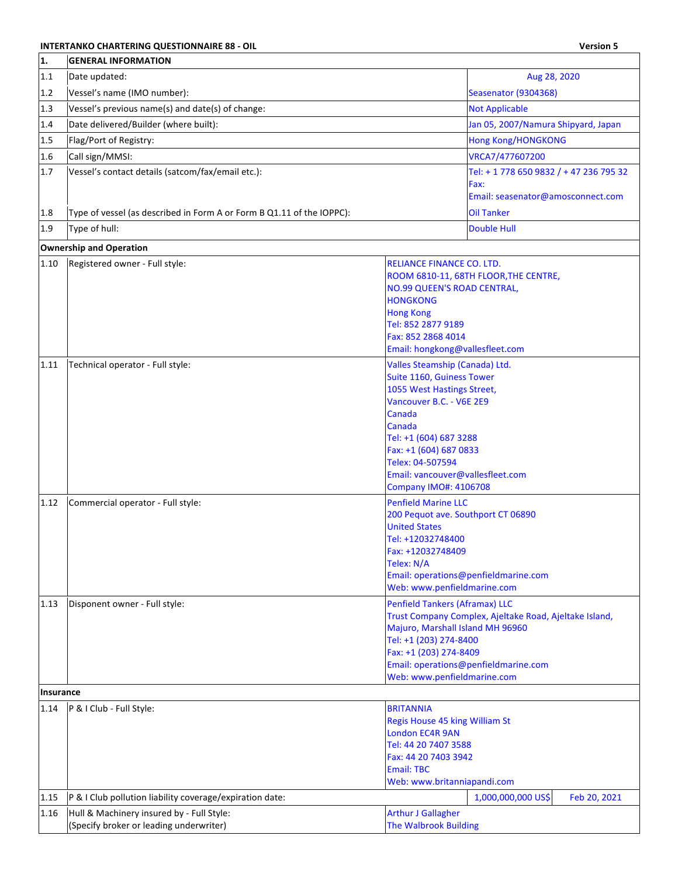## **INTERTANKO CHARTERING QUESTIONNAIRE 88 - OIL Version 5**

| 1.        | <b>GENERAL INFORMATION</b>                                                           |                                                                                                                                                                                                                                                                                       |
|-----------|--------------------------------------------------------------------------------------|---------------------------------------------------------------------------------------------------------------------------------------------------------------------------------------------------------------------------------------------------------------------------------------|
| 1.1       | Date updated:                                                                        | Aug 28, 2020                                                                                                                                                                                                                                                                          |
| 1.2       | Vessel's name (IMO number):                                                          | Seasenator (9304368)                                                                                                                                                                                                                                                                  |
| 1.3       | Vessel's previous name(s) and date(s) of change:                                     | <b>Not Applicable</b>                                                                                                                                                                                                                                                                 |
| 1.4       | Date delivered/Builder (where built):                                                | Jan 05, 2007/Namura Shipyard, Japan                                                                                                                                                                                                                                                   |
| 1.5       | Flag/Port of Registry:                                                               | <b>Hong Kong/HONGKONG</b>                                                                                                                                                                                                                                                             |
| 1.6       | Call sign/MMSI:                                                                      | VRCA7/477607200                                                                                                                                                                                                                                                                       |
| 1.7       | Vessel's contact details (satcom/fax/email etc.):                                    | Tel: + 1 778 650 9832 / + 47 236 795 32<br>Fax:                                                                                                                                                                                                                                       |
|           |                                                                                      | Email: seasenator@amosconnect.com                                                                                                                                                                                                                                                     |
| 1.8       | Type of vessel (as described in Form A or Form B Q1.11 of the IOPPC):                | <b>Oil Tanker</b>                                                                                                                                                                                                                                                                     |
| 1.9       | Type of hull:                                                                        | <b>Double Hull</b>                                                                                                                                                                                                                                                                    |
|           | <b>Ownership and Operation</b>                                                       |                                                                                                                                                                                                                                                                                       |
| 1.10      | Registered owner - Full style:                                                       | RELIANCE FINANCE CO. LTD.<br>ROOM 6810-11, 68TH FLOOR, THE CENTRE,<br><b>NO.99 QUEEN'S ROAD CENTRAL,</b><br><b>HONGKONG</b><br><b>Hong Kong</b><br>Tel: 852 2877 9189<br>Fax: 852 2868 4014<br>Email: hongkong@vallesfleet.com                                                        |
| 1.11      | Technical operator - Full style:                                                     | Valles Steamship (Canada) Ltd.<br>Suite 1160, Guiness Tower<br>1055 West Hastings Street,<br>Vancouver B.C. - V6E 2E9<br>Canada<br>Canada<br>Tel: +1 (604) 687 3288<br>Fax: +1 (604) 687 0833<br>Telex: 04-507594<br>Email: vancouver@vallesfleet.com<br><b>Company IMO#: 4106708</b> |
| 1.12      | Commercial operator - Full style:                                                    | <b>Penfield Marine LLC</b><br>200 Pequot ave. Southport CT 06890<br><b>United States</b><br>Tel: +12032748400<br>Fax: +12032748409<br>Telex: N/A<br>Email: operations@penfieldmarine.com<br>Web: www.penfieldmarine.com                                                               |
| 1.13      | Disponent owner - Full style:                                                        | <b>Penfield Tankers (Aframax) LLC</b><br>Trust Company Complex, Ajeltake Road, Ajeltake Island,<br>Majuro, Marshall Island MH 96960<br>Tel: +1 (203) 274-8400<br>Fax: +1 (203) 274-8409<br>Email: operations@penfieldmarine.com<br>Web: www.penfieldmarine.com                        |
| Insurance |                                                                                      |                                                                                                                                                                                                                                                                                       |
| 1.14      | P & I Club - Full Style:                                                             | <b>BRITANNIA</b><br>Regis House 45 king William St<br><b>London EC4R 9AN</b><br>Tel: 44 20 7407 3588<br>Fax: 44 20 7403 3942<br><b>Email: TBC</b><br>Web: www.britanniapandi.com                                                                                                      |
| 1.15      | P & I Club pollution liability coverage/expiration date:                             | 1,000,000,000 US\$<br>Feb 20, 2021                                                                                                                                                                                                                                                    |
| 1.16      | Hull & Machinery insured by - Full Style:<br>(Specify broker or leading underwriter) | <b>Arthur J Gallagher</b><br><b>The Walbrook Building</b>                                                                                                                                                                                                                             |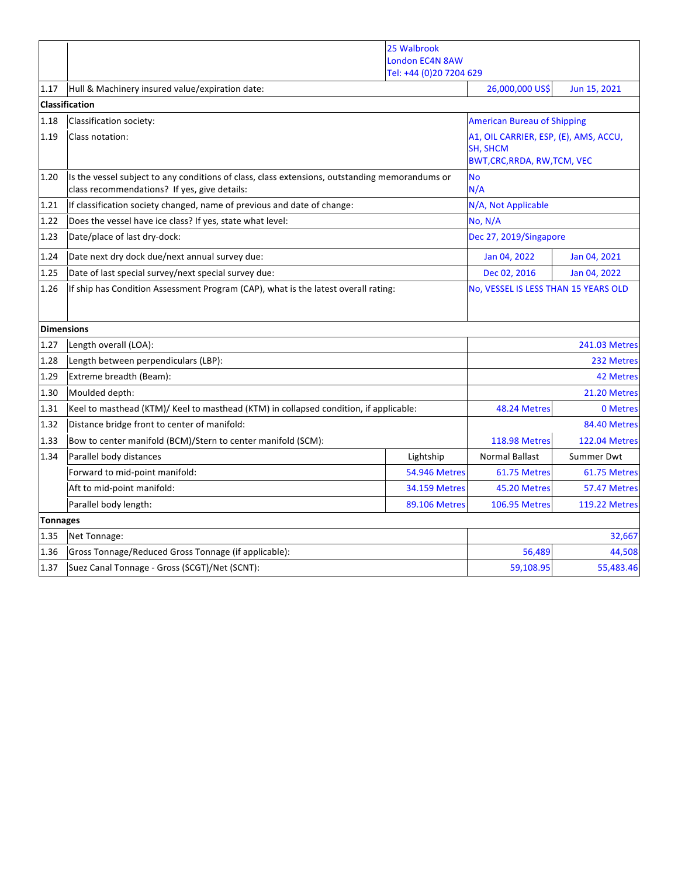|                   |                                                                                                                                                | 25 Walbrook<br><b>London EC4N 8AW</b> |                                                                             |                      |
|-------------------|------------------------------------------------------------------------------------------------------------------------------------------------|---------------------------------------|-----------------------------------------------------------------------------|----------------------|
|                   |                                                                                                                                                | Tel: +44 (0)20 7204 629               |                                                                             |                      |
| 1.17              | Hull & Machinery insured value/expiration date:                                                                                                |                                       | 26,000,000 US\$                                                             | Jun 15, 2021         |
|                   | Classification<br>Classification society:                                                                                                      |                                       |                                                                             |                      |
| 1.18<br>1.19      | Class notation:                                                                                                                                |                                       | <b>American Bureau of Shipping</b><br>A1, OIL CARRIER, ESP, (E), AMS, ACCU, |                      |
|                   |                                                                                                                                                |                                       | SH, SHCM<br><b>BWT, CRC, RRDA, RW, TCM, VEC</b>                             |                      |
| 1.20              | Is the vessel subject to any conditions of class, class extensions, outstanding memorandums or<br>class recommendations? If yes, give details: |                                       | <b>No</b><br>N/A                                                            |                      |
| 1.21              | If classification society changed, name of previous and date of change:                                                                        |                                       | N/A, Not Applicable                                                         |                      |
| 1.22              | Does the vessel have ice class? If yes, state what level:                                                                                      |                                       | No, N/A                                                                     |                      |
| 1.23              | Date/place of last dry-dock:                                                                                                                   |                                       | Dec 27, 2019/Singapore                                                      |                      |
| 1.24              | Date next dry dock due/next annual survey due:                                                                                                 |                                       | Jan 04, 2022                                                                | Jan 04, 2021         |
| 1.25              | Date of last special survey/next special survey due:                                                                                           |                                       | Dec 02, 2016                                                                | Jan 04, 2022         |
| 1.26              | If ship has Condition Assessment Program (CAP), what is the latest overall rating:                                                             |                                       | No, VESSEL IS LESS THAN 15 YEARS OLD                                        |                      |
| <b>Dimensions</b> |                                                                                                                                                |                                       |                                                                             |                      |
| 1.27              | Length overall (LOA):                                                                                                                          |                                       |                                                                             | <b>241.03 Metres</b> |
| 1.28              | Length between perpendiculars (LBP):                                                                                                           |                                       | 232 Metres                                                                  |                      |
| 1.29              | Extreme breadth (Beam):                                                                                                                        |                                       | <b>42 Metres</b>                                                            |                      |
| 1.30              | Moulded depth:                                                                                                                                 |                                       |                                                                             | 21.20 Metres         |
| 1.31              | Keel to masthead (KTM)/ Keel to masthead (KTM) in collapsed condition, if applicable:                                                          |                                       | 48.24 Metres                                                                | 0 Metres             |
| 1.32              | Distance bridge front to center of manifold:                                                                                                   |                                       |                                                                             | 84.40 Metres         |
| 1.33              | Bow to center manifold (BCM)/Stern to center manifold (SCM):                                                                                   |                                       | <b>118.98 Metres</b>                                                        | <b>122.04 Metres</b> |
| 1.34              | Parallel body distances                                                                                                                        | Lightship                             | <b>Normal Ballast</b>                                                       | Summer Dwt           |
|                   | Forward to mid-point manifold:                                                                                                                 | <b>54.946 Metres</b>                  | 61.75 Metres                                                                | 61.75 Metres         |
|                   | Aft to mid-point manifold:                                                                                                                     | <b>34.159 Metres</b>                  | 45.20 Metres                                                                | 57.47 Metres         |
|                   | Parallel body length:                                                                                                                          | <b>89.106 Metres</b>                  | <b>106.95 Metres</b>                                                        | <b>119.22 Metres</b> |
| <b>Tonnages</b>   |                                                                                                                                                |                                       |                                                                             |                      |
| 1.35              | Net Tonnage:                                                                                                                                   |                                       |                                                                             | 32,667               |
| 1.36              | Gross Tonnage/Reduced Gross Tonnage (if applicable):                                                                                           |                                       | 56,489                                                                      | 44,508               |
| 1.37              | Suez Canal Tonnage - Gross (SCGT)/Net (SCNT):                                                                                                  |                                       | 59,108.95                                                                   | 55,483.46            |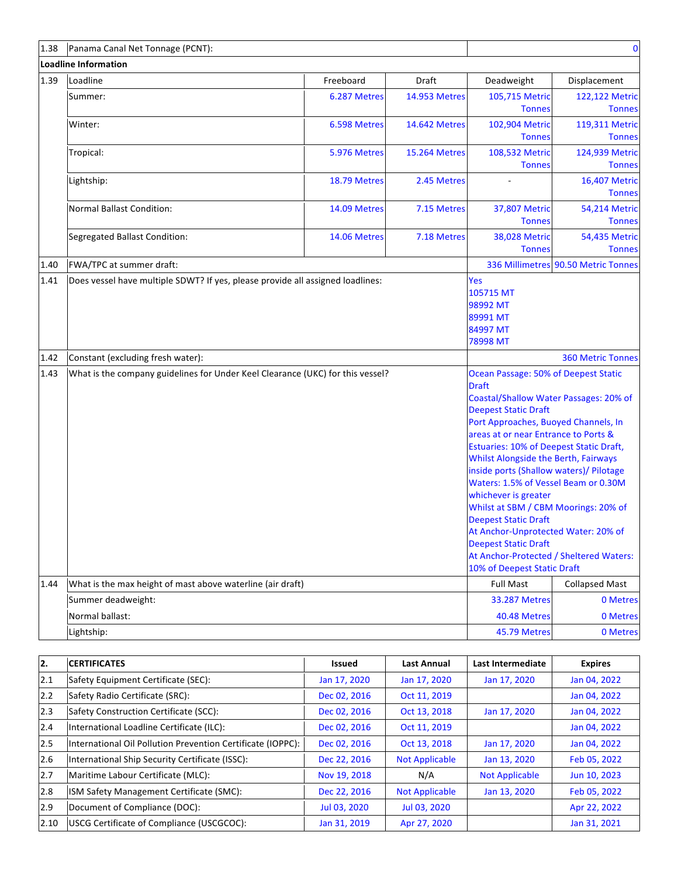| 1.38 | Panama Canal Net Tonnage (PCNT):                                                       |              |                      |                                                                                                                                                                                                                                                                                                                                                                                                                                                                                                                                                                                                | $\mathbf 0$                             |
|------|----------------------------------------------------------------------------------------|--------------|----------------------|------------------------------------------------------------------------------------------------------------------------------------------------------------------------------------------------------------------------------------------------------------------------------------------------------------------------------------------------------------------------------------------------------------------------------------------------------------------------------------------------------------------------------------------------------------------------------------------------|-----------------------------------------|
|      | <b>Loadline Information</b>                                                            |              |                      |                                                                                                                                                                                                                                                                                                                                                                                                                                                                                                                                                                                                |                                         |
| 1.39 | Loadline                                                                               | Freeboard    | Draft                | Deadweight                                                                                                                                                                                                                                                                                                                                                                                                                                                                                                                                                                                     | Displacement                            |
|      | Summer:                                                                                | 6.287 Metres | <b>14.953 Metres</b> | 105,715 Metric<br><b>Tonnes</b>                                                                                                                                                                                                                                                                                                                                                                                                                                                                                                                                                                | 122,122 Metric<br><b>Tonnes</b>         |
|      | Winter:                                                                                | 6.598 Metres | 14.642 Metres        | 102,904 Metric<br><b>Tonnes</b>                                                                                                                                                                                                                                                                                                                                                                                                                                                                                                                                                                | 119,311 Metric<br><b>Tonnes</b>         |
|      | Tropical:                                                                              | 5.976 Metres | <b>15.264 Metres</b> | 108,532 Metric<br><b>Tonnes</b>                                                                                                                                                                                                                                                                                                                                                                                                                                                                                                                                                                | 124,939 Metric<br><b>Tonnes</b>         |
|      | Lightship:                                                                             | 18.79 Metres | 2.45 Metres          |                                                                                                                                                                                                                                                                                                                                                                                                                                                                                                                                                                                                | <b>16,407 Metric</b><br><b>Tonnes</b>   |
|      | Normal Ballast Condition:                                                              | 14.09 Metres | 7.15 Metres          | 37,807 Metric<br><b>Tonnes</b>                                                                                                                                                                                                                                                                                                                                                                                                                                                                                                                                                                 | <b>54,214 Metric</b><br><b>Tonnes</b>   |
|      | Segregated Ballast Condition:                                                          | 14.06 Metres | 7.18 Metres          | <b>38,028 Metric</b><br><b>Tonnes</b>                                                                                                                                                                                                                                                                                                                                                                                                                                                                                                                                                          | 54,435 Metric<br><b>Tonnes</b>          |
| 1.40 | FWA/TPC at summer draft:                                                               |              |                      |                                                                                                                                                                                                                                                                                                                                                                                                                                                                                                                                                                                                | 336 Millimetres 90.50 Metric Tonnes     |
|      | Does vessel have multiple SDWT? If yes, please provide all assigned loadlines:<br>1.41 |              |                      | Yes<br>105715 MT<br>98992 MT<br>89991 MT<br>84997 MT<br>78998 MT                                                                                                                                                                                                                                                                                                                                                                                                                                                                                                                               |                                         |
| 1.42 | Constant (excluding fresh water):                                                      |              |                      |                                                                                                                                                                                                                                                                                                                                                                                                                                                                                                                                                                                                | <b>360 Metric Tonnes</b>                |
| 1.43 | What is the company guidelines for Under Keel Clearance (UKC) for this vessel?         |              |                      | Ocean Passage: 50% of Deepest Static<br><b>Draft</b><br>Coastal/Shallow Water Passages: 20% of<br><b>Deepest Static Draft</b><br>Port Approaches, Buoyed Channels, In<br>areas at or near Entrance to Ports &<br><b>Estuaries: 10% of Deepest Static Draft,</b><br>Whilst Alongside the Berth, Fairways<br>inside ports (Shallow waters)/ Pilotage<br>Waters: 1.5% of Vessel Beam or 0.30M<br>whichever is greater<br>Whilst at SBM / CBM Moorings: 20% of<br><b>Deepest Static Draft</b><br>At Anchor-Unprotected Water: 20% of<br><b>Deepest Static Draft</b><br>10% of Deepest Static Draft | At Anchor-Protected / Sheltered Waters: |
| 1.44 | What is the max height of mast above waterline (air draft)                             |              |                      | <b>Full Mast</b>                                                                                                                                                                                                                                                                                                                                                                                                                                                                                                                                                                               | <b>Collapsed Mast</b>                   |
|      | Summer deadweight:                                                                     |              |                      | <b>33.287 Metres</b>                                                                                                                                                                                                                                                                                                                                                                                                                                                                                                                                                                           | 0 Metres                                |
|      | Normal ballast:                                                                        |              |                      | 40.48 Metres                                                                                                                                                                                                                                                                                                                                                                                                                                                                                                                                                                                   | 0 Metres                                |
|      | Lightship:                                                                             |              |                      | 45.79 Metres                                                                                                                                                                                                                                                                                                                                                                                                                                                                                                                                                                                   | 0 Metres                                |

| 12.  | <b>CERTIFICATES</b>                                         | Issued       | <b>Last Annual</b>    | Last Intermediate     | <b>Expires</b> |
|------|-------------------------------------------------------------|--------------|-----------------------|-----------------------|----------------|
| 12.1 | Safety Equipment Certificate (SEC):                         | Jan 17, 2020 | Jan 17, 2020          | Jan 17, 2020          | Jan 04, 2022   |
| 2.2  | Safety Radio Certificate (SRC):                             | Dec 02, 2016 | Oct 11, 2019          |                       | Jan 04, 2022   |
| 12.3 | Safety Construction Certificate (SCC):                      | Dec 02, 2016 | Oct 13, 2018          | Jan 17, 2020          | Jan 04, 2022   |
| 2.4  | International Loadline Certificate (ILC):                   | Dec 02, 2016 | Oct 11, 2019          |                       | Jan 04, 2022   |
| 12.5 | International Oil Pollution Prevention Certificate (IOPPC): | Dec 02, 2016 | Oct 13, 2018          | Jan 17, 2020          | Jan 04, 2022   |
| 2.6  | International Ship Security Certificate (ISSC):             | Dec 22, 2016 | <b>Not Applicable</b> | Jan 13, 2020          | Feb 05, 2022   |
| 2.7  | Maritime Labour Certificate (MLC):                          | Nov 19, 2018 | N/A                   | <b>Not Applicable</b> | Jun 10, 2023   |
| 2.8  | ISM Safety Management Certificate (SMC):                    | Dec 22, 2016 | <b>Not Applicable</b> | Jan 13, 2020          | Feb 05, 2022   |
| 2.9  | Document of Compliance (DOC):                               | Jul 03, 2020 | Jul 03, 2020          |                       | Apr 22, 2022   |
| 2.10 | USCG Certificate of Compliance (USCGCOC):                   | Jan 31, 2019 | Apr 27, 2020          |                       | Jan 31, 2021   |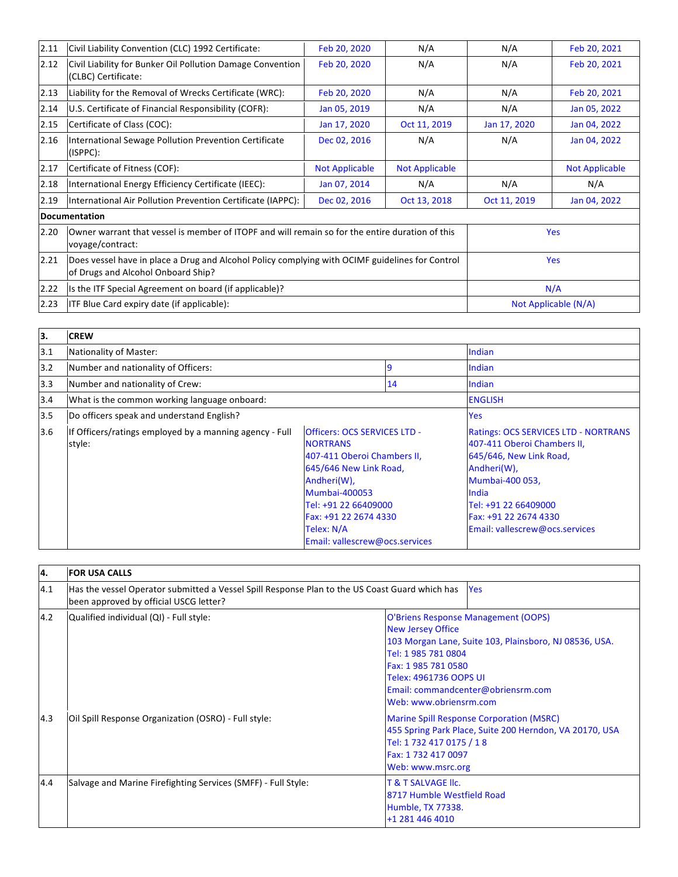| 2.11 | Civil Liability Convention (CLC) 1992 Certificate:                                                                                    | Feb 20, 2020          | N/A                   | N/A          | Feb 20, 2021          |
|------|---------------------------------------------------------------------------------------------------------------------------------------|-----------------------|-----------------------|--------------|-----------------------|
| 2.12 | Civil Liability for Bunker Oil Pollution Damage Convention<br>(CLBC) Certificate:                                                     | Feb 20, 2020          | N/A                   | N/A          | Feb 20, 2021          |
| 2.13 | Liability for the Removal of Wrecks Certificate (WRC):                                                                                | Feb 20, 2020          | N/A                   | N/A          | Feb 20, 2021          |
| 2.14 | U.S. Certificate of Financial Responsibility (COFR):                                                                                  | Jan 05, 2019          | N/A                   | N/A          | Jan 05, 2022          |
| 2.15 | Certificate of Class (COC):                                                                                                           | Jan 17, 2020          | Oct 11, 2019          | Jan 17, 2020 | Jan 04, 2022          |
| 2.16 | International Sewage Pollution Prevention Certificate<br>(ISPPC):                                                                     | Dec 02, 2016          | N/A                   | N/A          | Jan 04, 2022          |
| 2.17 | Certificate of Fitness (COF):                                                                                                         | <b>Not Applicable</b> | <b>Not Applicable</b> |              | <b>Not Applicable</b> |
| 2.18 | International Energy Efficiency Certificate (IEEC):                                                                                   | Jan 07, 2014          | N/A                   | N/A          | N/A                   |
| 2.19 | International Air Pollution Prevention Certificate (IAPPC):                                                                           | Dec 02, 2016          | Oct 13, 2018          | Oct 11, 2019 | Jan 04, 2022          |
|      | Documentation                                                                                                                         |                       |                       |              |                       |
| 2.20 | Owner warrant that vessel is member of ITOPF and will remain so for the entire duration of this<br>voyage/contract:                   |                       |                       |              | <b>Yes</b>            |
| 2.21 | Does vessel have in place a Drug and Alcohol Policy complying with OCIMF guidelines for Control<br>of Drugs and Alcohol Onboard Ship? |                       |                       |              | <b>Yes</b>            |
| 2.22 | Is the ITF Special Agreement on board (if applicable)?                                                                                |                       |                       |              | N/A                   |
| 2.23 | <b>ITF Blue Card expiry date (if applicable):</b>                                                                                     |                       |                       |              | Not Applicable (N/A)  |

| lз. | <b>CREW</b>                                                       |                                                                                                                                                                                                                                                  |    |                                                                                                                                                                                                                                     |
|-----|-------------------------------------------------------------------|--------------------------------------------------------------------------------------------------------------------------------------------------------------------------------------------------------------------------------------------------|----|-------------------------------------------------------------------------------------------------------------------------------------------------------------------------------------------------------------------------------------|
| 3.1 | Nationality of Master:                                            |                                                                                                                                                                                                                                                  |    | Indian                                                                                                                                                                                                                              |
| 3.2 | Number and nationality of Officers:                               |                                                                                                                                                                                                                                                  | 9  | Indian                                                                                                                                                                                                                              |
| 3.3 | Number and nationality of Crew:                                   |                                                                                                                                                                                                                                                  | 14 | Indian                                                                                                                                                                                                                              |
| 3.4 | What is the common working language onboard:                      |                                                                                                                                                                                                                                                  |    | <b>ENGLISH</b>                                                                                                                                                                                                                      |
| 3.5 | Do officers speak and understand English?                         |                                                                                                                                                                                                                                                  |    | Yes                                                                                                                                                                                                                                 |
| 3.6 | If Officers/ratings employed by a manning agency - Full<br>style: | Officers: OCS SERVICES LTD -<br><b>NORTRANS</b><br>407-411 Oberoi Chambers II,<br>645/646 New Link Road,<br>Andheri(W),<br><b>Mumbai-400053</b><br>Tel: +91 22 66409000<br>Fax: +91 22 2674 4330<br>Telex: N/A<br>Email: vallescrew@ocs.services |    | <b>Ratings: OCS SERVICES LTD - NORTRANS</b><br>407-411 Oberoi Chambers II,<br>645/646, New Link Road,<br>Andheri(W),<br>Mumbai-400 053,<br>India<br>Tel: +91 22 66409000<br>Fax: +91 22 2674 4330<br>Email: vallescrew@ocs.services |

| 4.  | <b>FOR USA CALLS</b>                                                                                                                     |                                                                                                                                                                                                                                                                   |  |
|-----|------------------------------------------------------------------------------------------------------------------------------------------|-------------------------------------------------------------------------------------------------------------------------------------------------------------------------------------------------------------------------------------------------------------------|--|
| 4.1 | Has the vessel Operator submitted a Vessel Spill Response Plan to the US Coast Guard which has<br>been approved by official USCG letter? | Yes                                                                                                                                                                                                                                                               |  |
| 4.2 | Qualified individual (QI) - Full style:                                                                                                  | O'Briens Response Management (OOPS)<br><b>New Jersey Office</b><br>103 Morgan Lane, Suite 103, Plainsboro, NJ 08536, USA.<br>Tel: 1 985 781 0804<br>Fax: 1 985 781 0580<br>Telex: 4961736 OOPS UI<br>Email: commandcenter@obriensrm.com<br>Web: www.obriensrm.com |  |
| 4.3 | Oil Spill Response Organization (OSRO) - Full style:                                                                                     | <b>Marine Spill Response Corporation (MSRC)</b><br>455 Spring Park Place, Suite 200 Herndon, VA 20170, USA<br>Tel: 1 732 417 0175 / 18<br>Fax: 1 732 417 0097<br>Web: www.msrc.org                                                                                |  |
| 4.4 | Salvage and Marine Firefighting Services (SMFF) - Full Style:                                                                            | <b>T &amp; T SALVAGE IIC.</b><br>8717 Humble Westfield Road<br><b>Humble, TX 77338.</b><br>+1 281 446 4010                                                                                                                                                        |  |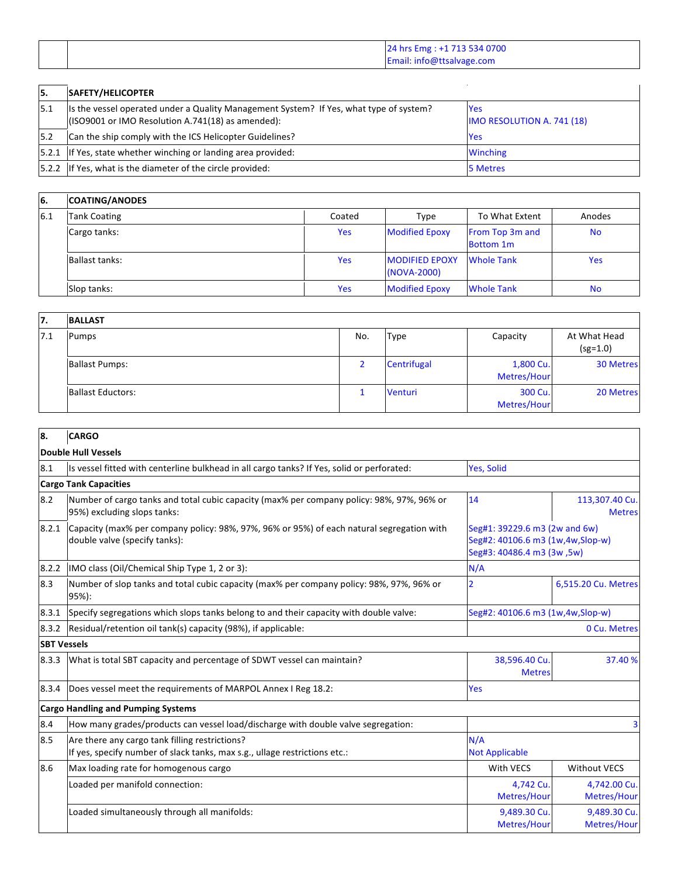|  | 24 hrs Emg : +1 713 534 0700 |
|--|------------------------------|
|  | Email: info@ttsalvage.com    |

| 15.   | <b>SAFETY/HELICOPTER</b>                                                                                                                     |                                          |
|-------|----------------------------------------------------------------------------------------------------------------------------------------------|------------------------------------------|
| 5.1   | Its the vessel operated under a Quality Management System? If Yes, what type of system?<br>(ISO9001 or IMO Resolution A.741(18) as amended): | <b>Yes</b><br>IMO RESOLUTION A. 741 (18) |
| 15.2  | Can the ship comply with the ICS Helicopter Guidelines?                                                                                      | <b>Yes</b>                               |
| 5.2.1 | If Yes, state whether winching or landing area provided:                                                                                     | <b>Winching</b>                          |
|       | [5.2.2 If Yes, what is the diameter of the circle provided:                                                                                  | <b>5 Metres</b>                          |

| 6.  | <b>COATING/ANODES</b> |            |                                      |                                     |            |
|-----|-----------------------|------------|--------------------------------------|-------------------------------------|------------|
| 6.1 | <b>Tank Coating</b>   | Coated     | Type                                 | To What Extent                      | Anodes     |
|     | Cargo tanks:          | <b>Yes</b> | <b>Modified Epoxy</b>                | From Top 3m and<br><b>Bottom 1m</b> | <b>No</b>  |
|     | <b>Ballast tanks:</b> | <b>Yes</b> | <b>MODIFIED EPOXY</b><br>(NOVA-2000) | <b>Whole Tank</b>                   | <b>Yes</b> |
|     | Slop tanks:           | Yes        | <b>Modified Epoxy</b>                | <b>Whole Tank</b>                   | <b>No</b>  |

| 17. | <b>BALLAST</b>           |     |                |                          |                            |
|-----|--------------------------|-----|----------------|--------------------------|----------------------------|
| 7.1 | Pumps                    | No. | <b>Type</b>    | Capacity                 | At What Head<br>$(sg=1.0)$ |
|     | <b>Ballast Pumps:</b>    |     | Centrifugal    | 1,800 Cu.<br>Metres/Hour | <b>30 Metres</b>           |
|     | <b>Ballast Eductors:</b> |     | <b>Venturi</b> | 300 Cu.<br>Metres/Hour   | 20 Metres                  |

| 8.                 | <b>CARGO</b>                                                                                                                 |                                                                                                 |                                 |
|--------------------|------------------------------------------------------------------------------------------------------------------------------|-------------------------------------------------------------------------------------------------|---------------------------------|
|                    | Double Hull Vessels                                                                                                          |                                                                                                 |                                 |
| 8.1                | Is vessel fitted with centerline bulkhead in all cargo tanks? If Yes, solid or perforated:                                   | Yes, Solid                                                                                      |                                 |
|                    | <b>Cargo Tank Capacities</b>                                                                                                 |                                                                                                 |                                 |
| 8.2                | Number of cargo tanks and total cubic capacity (max% per company policy: 98%, 97%, 96% or<br>95%) excluding slops tanks:     | 14                                                                                              | 113,307.40 Cu.<br><b>Metres</b> |
| 8.2.1              | Capacity (max% per company policy: 98%, 97%, 96% or 95%) of each natural segregation with<br>double valve (specify tanks):   | Seg#1: 39229.6 m3 (2w and 6w)<br>Seg#2: 40106.6 m3 (1w,4w,Slop-w)<br>Seg#3: 40486.4 m3 (3w, 5w) |                                 |
| 8.2.2              | IMO class (Oil/Chemical Ship Type 1, 2 or 3):                                                                                | N/A                                                                                             |                                 |
| 8.3                | Number of slop tanks and total cubic capacity (max% per company policy: 98%, 97%, 96% or<br>95%):                            | 6,515.20 Cu. Metres<br>2                                                                        |                                 |
| 8.3.1              | Specify segregations which slops tanks belong to and their capacity with double valve:                                       | Seg#2: 40106.6 m3 (1w,4w,Slop-w)                                                                |                                 |
| 8.3.2              | Residual/retention oil tank(s) capacity (98%), if applicable:                                                                | 0 Cu. Metres                                                                                    |                                 |
| <b>SBT Vessels</b> |                                                                                                                              |                                                                                                 |                                 |
| 8.3.3              | What is total SBT capacity and percentage of SDWT vessel can maintain?                                                       | 38,596.40 Cu.<br><b>Metres</b>                                                                  | 37.40 %                         |
| 8.3.4              | Does vessel meet the requirements of MARPOL Annex I Reg 18.2:                                                                | Yes                                                                                             |                                 |
|                    | <b>Cargo Handling and Pumping Systems</b>                                                                                    |                                                                                                 |                                 |
| 8.4                | How many grades/products can vessel load/discharge with double valve segregation:                                            |                                                                                                 |                                 |
| 8.5                | Are there any cargo tank filling restrictions?<br>If yes, specify number of slack tanks, max s.g., ullage restrictions etc.: | N/A<br><b>Not Applicable</b>                                                                    |                                 |
| 8.6                | Max loading rate for homogenous cargo                                                                                        | With VECS                                                                                       | <b>Without VECS</b>             |
|                    | Loaded per manifold connection:                                                                                              | 4,742 Cu.<br>Metres/Hour                                                                        | 4,742.00 Cu.<br>Metres/Hour     |
|                    | Loaded simultaneously through all manifolds:                                                                                 | 9,489.30 Cu.<br>Metres/Hour                                                                     | 9,489.30 Cu.<br>Metres/Hour     |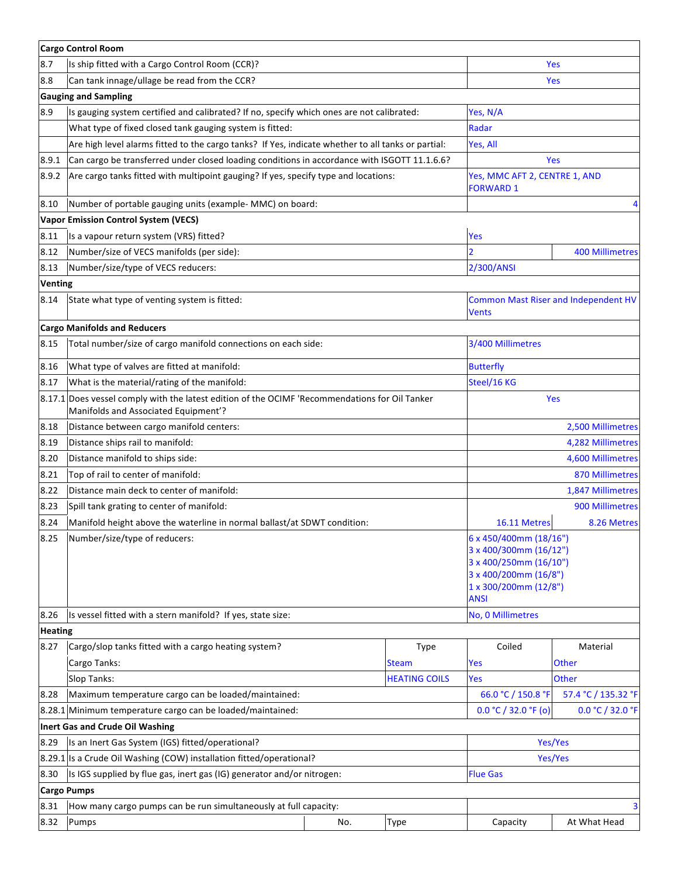|                                                                                                     | <b>Cargo Control Room</b>                                                                                                              |     |                      |                                                                                                                                             |                        |  |
|-----------------------------------------------------------------------------------------------------|----------------------------------------------------------------------------------------------------------------------------------------|-----|----------------------|---------------------------------------------------------------------------------------------------------------------------------------------|------------------------|--|
| 8.7                                                                                                 | Is ship fitted with a Cargo Control Room (CCR)?                                                                                        |     |                      | Yes                                                                                                                                         |                        |  |
| 8.8                                                                                                 | Can tank innage/ullage be read from the CCR?                                                                                           |     |                      | Yes                                                                                                                                         |                        |  |
|                                                                                                     | <b>Gauging and Sampling</b>                                                                                                            |     |                      |                                                                                                                                             |                        |  |
| 8.9                                                                                                 | Is gauging system certified and calibrated? If no, specify which ones are not calibrated:                                              |     |                      | Yes, N/A                                                                                                                                    |                        |  |
|                                                                                                     | What type of fixed closed tank gauging system is fitted:                                                                               |     |                      | Radar                                                                                                                                       |                        |  |
|                                                                                                     | Are high level alarms fitted to the cargo tanks? If Yes, indicate whether to all tanks or partial:                                     |     |                      | Yes, All                                                                                                                                    |                        |  |
| 8.9.1                                                                                               | Can cargo be transferred under closed loading conditions in accordance with ISGOTT 11.1.6.6?                                           |     |                      | Yes                                                                                                                                         |                        |  |
| 8.9.2                                                                                               | Are cargo tanks fitted with multipoint gauging? If yes, specify type and locations:                                                    |     |                      | Yes, MMC AFT 2, CENTRE 1, AND<br><b>FORWARD 1</b>                                                                                           |                        |  |
| 8.10                                                                                                | Number of portable gauging units (example- MMC) on board:                                                                              |     |                      |                                                                                                                                             | 4                      |  |
|                                                                                                     | <b>Vapor Emission Control System (VECS)</b>                                                                                            |     |                      |                                                                                                                                             |                        |  |
| 8.11                                                                                                | Is a vapour return system (VRS) fitted?                                                                                                |     |                      | Yes                                                                                                                                         |                        |  |
| 8.12                                                                                                | Number/size of VECS manifolds (per side):                                                                                              |     |                      | $\overline{2}$<br><b>400 Millimetres</b>                                                                                                    |                        |  |
| 8.13                                                                                                | Number/size/type of VECS reducers:                                                                                                     |     |                      | 2/300/ANSI                                                                                                                                  |                        |  |
| <b>Venting</b><br>8.14                                                                              | State what type of venting system is fitted:                                                                                           |     | Vents                | <b>Common Mast Riser and Independent HV</b>                                                                                                 |                        |  |
|                                                                                                     | <b>Cargo Manifolds and Reducers</b>                                                                                                    |     |                      |                                                                                                                                             |                        |  |
| 8.15                                                                                                | Total number/size of cargo manifold connections on each side:                                                                          |     |                      | 3/400 Millimetres                                                                                                                           |                        |  |
| 8.16                                                                                                | What type of valves are fitted at manifold:                                                                                            |     |                      | <b>Butterfly</b>                                                                                                                            |                        |  |
| 8.17                                                                                                | What is the material/rating of the manifold:                                                                                           |     |                      | Steel/16 KG                                                                                                                                 |                        |  |
|                                                                                                     | 8.17.1 Does vessel comply with the latest edition of the OCIMF 'Recommendations for Oil Tanker<br>Manifolds and Associated Equipment'? |     |                      | Yes                                                                                                                                         |                        |  |
| 8.18                                                                                                | Distance between cargo manifold centers:                                                                                               |     |                      |                                                                                                                                             | 2,500 Millimetres      |  |
| 8.19                                                                                                | Distance ships rail to manifold:                                                                                                       |     |                      |                                                                                                                                             | 4,282 Millimetres      |  |
| 8.20                                                                                                | Distance manifold to ships side:                                                                                                       |     |                      |                                                                                                                                             | 4,600 Millimetres      |  |
| 8.21                                                                                                | Top of rail to center of manifold:                                                                                                     |     |                      |                                                                                                                                             | <b>870 Millimetres</b> |  |
| 8.22                                                                                                | Distance main deck to center of manifold:                                                                                              |     |                      |                                                                                                                                             | 1,847 Millimetres      |  |
| 8.23                                                                                                | Spill tank grating to center of manifold:                                                                                              |     |                      |                                                                                                                                             | 900 Millimetres        |  |
| 8.24                                                                                                | Manifold height above the waterline in normal ballast/at SDWT condition:                                                               |     |                      | 16.11 Metres                                                                                                                                | 8.26 Metres            |  |
| 8.25                                                                                                | Number/size/type of reducers:                                                                                                          |     |                      | 6 x 450/400mm (18/16")<br>3 x 400/300mm (16/12")<br>3 x 400/250mm (16/10")<br>3 x 400/200mm (16/8")<br>1 x 300/200mm (12/8")<br><b>ANSI</b> |                        |  |
| 8.26                                                                                                | Is vessel fitted with a stern manifold? If yes, state size:                                                                            |     |                      | No, 0 Millimetres                                                                                                                           |                        |  |
| <b>Heating</b>                                                                                      |                                                                                                                                        |     |                      |                                                                                                                                             |                        |  |
| 8.27                                                                                                | Cargo/slop tanks fitted with a cargo heating system?                                                                                   |     | Type                 | Coiled                                                                                                                                      | Material               |  |
|                                                                                                     | Cargo Tanks:                                                                                                                           |     | <b>Steam</b>         | Yes                                                                                                                                         | <b>Other</b>           |  |
|                                                                                                     | Slop Tanks:                                                                                                                            |     | <b>HEATING COILS</b> | Yes                                                                                                                                         | <b>Other</b>           |  |
| 8.28                                                                                                | Maximum temperature cargo can be loaded/maintained:                                                                                    |     |                      | 66.0 °C / 150.8 °F                                                                                                                          | 57.4 °C / 135.32 °F    |  |
|                                                                                                     | 8.28.1 Minimum temperature cargo can be loaded/maintained:                                                                             |     |                      | 0.0 °C / 32.0 °F (o)                                                                                                                        | 0.0 °C / 32.0 °F       |  |
|                                                                                                     | Inert Gas and Crude Oil Washing                                                                                                        |     |                      |                                                                                                                                             |                        |  |
| 8.29                                                                                                | Is an Inert Gas System (IGS) fitted/operational?                                                                                       |     |                      | Yes/Yes                                                                                                                                     |                        |  |
| 8.29.1                                                                                              | Is a Crude Oil Washing (COW) installation fitted/operational?                                                                          |     |                      | Yes/Yes                                                                                                                                     |                        |  |
| Is IGS supplied by flue gas, inert gas (IG) generator and/or nitrogen:<br><b>Flue Gas</b><br>8.30   |                                                                                                                                        |     |                      |                                                                                                                                             |                        |  |
| <b>Cargo Pumps</b><br>8.31<br>How many cargo pumps can be run simultaneously at full capacity:<br>3 |                                                                                                                                        |     |                      |                                                                                                                                             |                        |  |
| 8.32                                                                                                | Pumps                                                                                                                                  | No. | Type                 | Capacity                                                                                                                                    | At What Head           |  |
|                                                                                                     |                                                                                                                                        |     |                      |                                                                                                                                             |                        |  |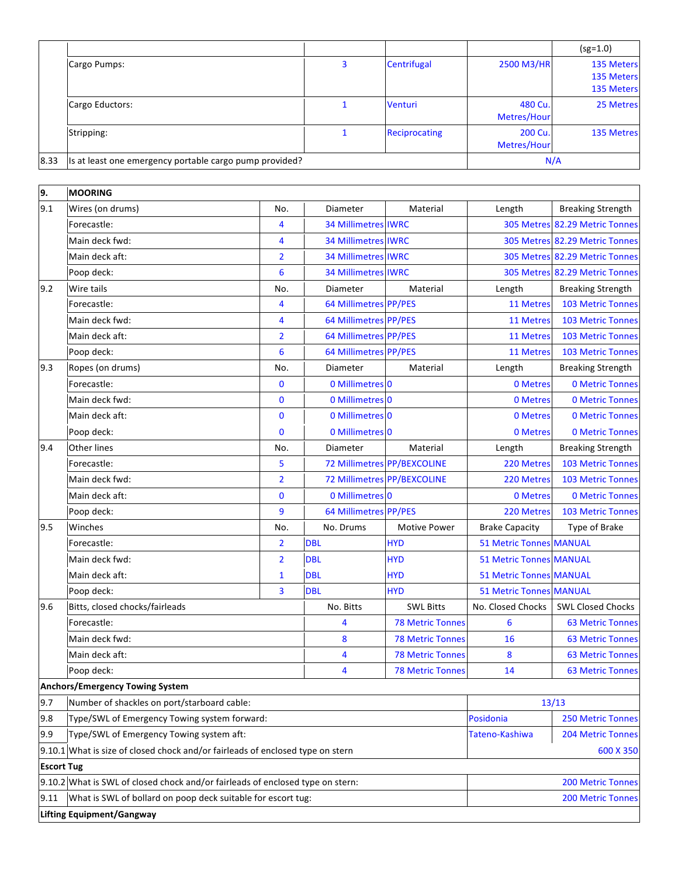|      |                                                         |                      |                        | $(sg=1.0)$                                           |
|------|---------------------------------------------------------|----------------------|------------------------|------------------------------------------------------|
|      | Cargo Pumps:                                            | Centrifugal          | 2500 M3/HR             | <b>135 Meters</b><br>135 Meters<br><b>135 Meters</b> |
|      | Cargo Eductors:                                         | Venturi              | 480 Cu.<br>Metres/Hour | 25 Metres                                            |
|      | Stripping:                                              | <b>Reciprocating</b> | 200 Cu.<br>Metres/Hour | <b>135 Metres</b>                                    |
| 8.33 | Is at least one emergency portable cargo pump provided? |                      |                        | N/A                                                  |

| 9.                                                                             | <b>MOORING</b>                                                                 |                 |                            |                             |                                |                                |
|--------------------------------------------------------------------------------|--------------------------------------------------------------------------------|-----------------|----------------------------|-----------------------------|--------------------------------|--------------------------------|
| 9.1                                                                            | Wires (on drums)                                                               | No.             | Diameter                   | Material                    | Length                         | <b>Breaking Strength</b>       |
|                                                                                | Forecastle:                                                                    | 4               | <b>34 Millimetres IWRC</b> |                             |                                | 305 Metres 82.29 Metric Tonnes |
|                                                                                | Main deck fwd:                                                                 | 4               | <b>34 Millimetres IWRC</b> |                             |                                | 305 Metres 82.29 Metric Tonnes |
|                                                                                | Main deck aft:                                                                 | $\overline{2}$  | <b>34 Millimetres IWRC</b> |                             |                                | 305 Metres 82.29 Metric Tonnes |
|                                                                                | Poop deck:                                                                     | 6               | <b>34 Millimetres IWRC</b> |                             |                                | 305 Metres 82.29 Metric Tonnes |
| 9.2                                                                            | Wire tails                                                                     | No.             | Diameter                   | Material                    | Length                         | <b>Breaking Strength</b>       |
|                                                                                | Forecastle:                                                                    | 4               | 64 Millimetres PP/PES      |                             | 11 Metres                      | <b>103 Metric Tonnes</b>       |
|                                                                                | Main deck fwd:                                                                 | 4               | 64 Millimetres PP/PES      |                             | 11 Metres                      | <b>103 Metric Tonnes</b>       |
|                                                                                | Main deck aft:                                                                 | $\overline{2}$  | 64 Millimetres PP/PES      |                             | 11 Metres                      | <b>103 Metric Tonnes</b>       |
|                                                                                | Poop deck:                                                                     | $6\phantom{1}6$ | 64 Millimetres PP/PES      |                             | 11 Metres                      | <b>103 Metric Tonnes</b>       |
| 9.3                                                                            | Ropes (on drums)                                                               | No.             | Diameter                   | Material                    | Length                         | <b>Breaking Strength</b>       |
|                                                                                | Forecastle:                                                                    | $\bf{0}$        | 0 Millimetres 0            |                             | 0 Metres                       | <b>0 Metric Tonnes</b>         |
|                                                                                | Main deck fwd:                                                                 | $\mathbf 0$     | 0 Millimetres 0            |                             | 0 Metres                       | <b>0 Metric Tonnes</b>         |
|                                                                                | Main deck aft:                                                                 | $\mathbf{0}$    | 0 Millimetres 0            |                             | 0 Metres                       | <b>0 Metric Tonnes</b>         |
|                                                                                | Poop deck:                                                                     | $\mathbf 0$     | 0 Millimetres 0            |                             | 0 Metres                       | <b>0 Metric Tonnes</b>         |
| 9.4                                                                            | <b>Other lines</b>                                                             | No.             | Diameter                   | Material                    | Length                         | <b>Breaking Strength</b>       |
|                                                                                | Forecastle:                                                                    | 5               |                            | 72 Millimetres PP/BEXCOLINE | 220 Metres                     | <b>103 Metric Tonnes</b>       |
|                                                                                | Main deck fwd:                                                                 | $\overline{2}$  |                            | 72 Millimetres PP/BEXCOLINE | 220 Metres                     | <b>103 Metric Tonnes</b>       |
|                                                                                | Main deck aft:                                                                 | $\bf{0}$        | 0 Millimetres 0            |                             | 0 Metres                       | <b>0 Metric Tonnes</b>         |
|                                                                                | Poop deck:                                                                     | 9               | 64 Millimetres PP/PES      |                             | 220 Metres                     | <b>103 Metric Tonnes</b>       |
| 9.5                                                                            | Winches                                                                        | No.             | No. Drums                  | Motive Power                | <b>Brake Capacity</b>          | Type of Brake                  |
|                                                                                | Forecastle:                                                                    | $\overline{2}$  | <b>DBL</b>                 | <b>HYD</b>                  | <b>51 Metric Tonnes MANUAL</b> |                                |
|                                                                                | Main deck fwd:                                                                 | $\overline{2}$  | <b>DBL</b>                 | <b>HYD</b>                  | <b>51 Metric Tonnes MANUAL</b> |                                |
|                                                                                | Main deck aft:                                                                 | $\mathbf{1}$    | <b>DBL</b>                 | <b>HYD</b>                  | <b>51 Metric Tonnes MANUAL</b> |                                |
|                                                                                | Poop deck:                                                                     | 3               | <b>DBL</b>                 | <b>HYD</b>                  | <b>51 Metric Tonnes MANUAL</b> |                                |
| 9.6                                                                            | Bitts, closed chocks/fairleads                                                 |                 | No. Bitts                  | <b>SWL Bitts</b>            | No. Closed Chocks              | <b>SWL Closed Chocks</b>       |
|                                                                                | Forecastle:                                                                    |                 | 4                          | <b>78 Metric Tonnes</b>     | 6                              | <b>63 Metric Tonnes</b>        |
|                                                                                | Main deck fwd:                                                                 |                 | 8                          | <b>78 Metric Tonnes</b>     | 16                             | <b>63 Metric Tonnes</b>        |
|                                                                                | Main deck aft:                                                                 |                 | 4                          | <b>78 Metric Tonnes</b>     | 8                              | <b>63 Metric Tonnes</b>        |
|                                                                                | Poop deck:                                                                     |                 | 4                          | <b>78 Metric Tonnes</b>     | 14                             | <b>63 Metric Tonnes</b>        |
|                                                                                | Anchors/Emergency Towing System                                                |                 |                            |                             |                                |                                |
| 9.7                                                                            | Number of shackles on port/starboard cable:                                    |                 |                            |                             | 13/13                          |                                |
| 9.8                                                                            | Type/SWL of Emergency Towing system forward:                                   |                 |                            |                             | Posidonia                      | <b>250 Metric Tonnes</b>       |
| 9.9                                                                            | Type/SWL of Emergency Towing system aft:                                       | Tateno-Kashiwa  | <b>204 Metric Tonnes</b>   |                             |                                |                                |
| 9.10.1 What is size of closed chock and/or fairleads of enclosed type on stern |                                                                                |                 |                            |                             |                                | 600 X 350                      |
| <b>Escort Tug</b>                                                              |                                                                                |                 |                            |                             |                                |                                |
|                                                                                | 9.10.2 What is SWL of closed chock and/or fairleads of enclosed type on stern: |                 |                            |                             | <b>200 Metric Tonnes</b>       |                                |
| 9.11                                                                           | What is SWL of bollard on poop deck suitable for escort tug:                   |                 |                            |                             |                                | <b>200 Metric Tonnes</b>       |
|                                                                                | <b>Lifting Equipment/Gangway</b>                                               |                 |                            |                             |                                |                                |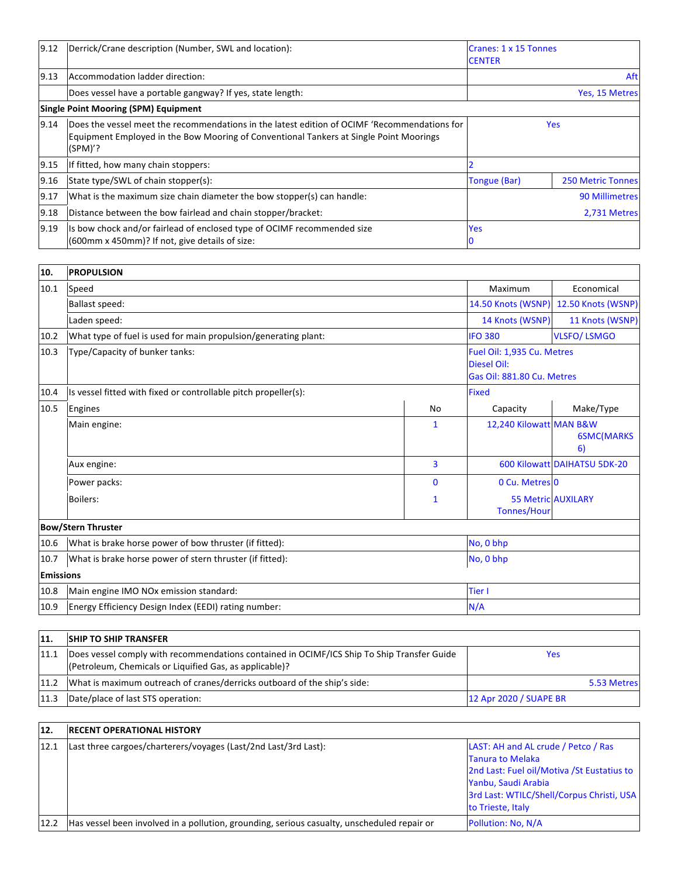| 9.12 | Derrick/Crane description (Number, SWL and location):                                                                                                                                               | <b>Cranes: 1 x 15 Tonnes</b><br><b>CENTER</b> |  |
|------|-----------------------------------------------------------------------------------------------------------------------------------------------------------------------------------------------------|-----------------------------------------------|--|
| 9.13 | Accommodation ladder direction:                                                                                                                                                                     | Aft                                           |  |
|      | Does vessel have a portable gangway? If yes, state length:                                                                                                                                          | Yes, 15 Metres                                |  |
|      | <b>Single Point Mooring (SPM) Equipment</b>                                                                                                                                                         |                                               |  |
| 9.14 | Does the vessel meet the recommendations in the latest edition of OCIMF 'Recommendations for<br>Equipment Employed in the Bow Mooring of Conventional Tankers at Single Point Moorings<br>$(SPM)$ ? | <b>Yes</b>                                    |  |
| 9.15 | If fitted, how many chain stoppers:                                                                                                                                                                 |                                               |  |
| 9.16 | State type/SWL of chain stopper(s):                                                                                                                                                                 | Tongue (Bar)<br><b>250 Metric Tonnes</b>      |  |
| 9.17 | What is the maximum size chain diameter the bow stopper(s) can handle:                                                                                                                              | 90 Millimetres                                |  |
| 9.18 | Distance between the bow fairlead and chain stopper/bracket:                                                                                                                                        | 2,731 Metres                                  |  |
| 9.19 | Is bow chock and/or fairlead of enclosed type of OCIMF recommended size<br>(600mm x 450mm)? If not, give details of size:                                                                           | <b>Yes</b>                                    |  |

| 10.              | <b>PROPULSION</b>                                               |                                                                         |                         |                              |
|------------------|-----------------------------------------------------------------|-------------------------------------------------------------------------|-------------------------|------------------------------|
| 10.1             | Speed                                                           |                                                                         | Maximum                 | Economical                   |
|                  | Ballast speed:                                                  | 14.50 Knots (WSNP)                                                      | 12.50 Knots (WSNP)      |                              |
|                  | Laden speed:                                                    | 14 Knots (WSNP)                                                         | 11 Knots (WSNP)         |                              |
| 10.2             | What type of fuel is used for main propulsion/generating plant: |                                                                         | <b>IFO 380</b>          | <b>VLSFO/LSMGO</b>           |
| 10.3             | Type/Capacity of bunker tanks:                                  | Fuel Oil: 1,935 Cu. Metres<br>Diesel Oil:<br>Gas Oil: 881.80 Cu. Metres |                         |                              |
| 10.4             | Is vessel fitted with fixed or controllable pitch propeller(s): | <b>Fixed</b>                                                            |                         |                              |
| 10.5             | Engines                                                         | No                                                                      | Capacity                | Make/Type                    |
|                  | Main engine:                                                    | $\mathbf{1}$                                                            | 12,240 Kilowatt MAN B&W | <b>6SMC(MARKS</b><br>6)      |
|                  | Aux engine:                                                     | 3                                                                       |                         | 600 Kilowatt DAIHATSU 5DK-20 |
|                  | Power packs:                                                    | $\mathbf{0}$                                                            | 0 Cu. Metres 0          |                              |
|                  | Boilers:                                                        | $\mathbf{1}$                                                            | <b>Tonnes/Hour</b>      | <b>55 Metric AUXILARY</b>    |
|                  | <b>Bow/Stern Thruster</b>                                       |                                                                         |                         |                              |
| 10.6             | What is brake horse power of bow thruster (if fitted):          | No, 0 bhp                                                               |                         |                              |
| 10.7             | What is brake horse power of stern thruster (if fitted):        | No, 0 bhp                                                               |                         |                              |
| <b>Emissions</b> |                                                                 |                                                                         |                         |                              |
| 10.8             | Main engine IMO NOx emission standard:                          | <b>Tier I</b>                                                           |                         |                              |
| 10.9             | Energy Efficiency Design Index (EEDI) rating number:            | N/A                                                                     |                         |                              |

| 11.  | <b>SHIP TO SHIP TRANSFER</b>                                                                                                                          |                        |
|------|-------------------------------------------------------------------------------------------------------------------------------------------------------|------------------------|
| 11.1 | Does vessel comply with recommendations contained in OCIMF/ICS Ship To Ship Transfer Guide<br>(Petroleum, Chemicals or Liquified Gas, as applicable)? | Yes                    |
| 11.2 | What is maximum outreach of cranes/derricks outboard of the ship's side:                                                                              | 5.53 Metres            |
|      | 11.3  Date/place of last STS operation:                                                                                                               | 12 Apr 2020 / SUAPE BR |

| 12.  | <b>IRECENT OPERATIONAL HISTORY</b>                                                          |                                             |
|------|---------------------------------------------------------------------------------------------|---------------------------------------------|
| 12.1 | Last three cargoes/charterers/voyages (Last/2nd Last/3rd Last):                             | LAST: AH and AL crude / Petco / Ras         |
|      |                                                                                             | <b>Tanura to Melaka</b>                     |
|      |                                                                                             | 2nd Last: Fuel oil/Motiva / St Eustatius to |
|      |                                                                                             | Yanbu, Saudi Arabia                         |
|      |                                                                                             | 3rd Last: WTILC/Shell/Corpus Christi, USA   |
|      |                                                                                             | to Trieste, Italy                           |
| 12.2 | Has vessel been involved in a pollution, grounding, serious casualty, unscheduled repair or | Pollution: No, N/A                          |